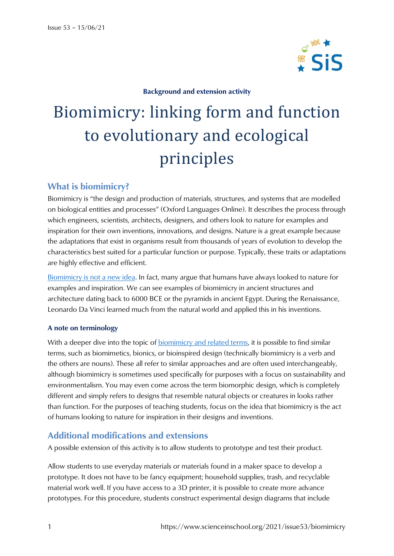

#### **Background and extension activity**

# Biomimicry: linking form and function to evolutionary and ecological principles

## **What is biomimicry?**

Biomimicry is "the design and production of materials, structures, and systems that are modelled on biological entities and processes" (Oxford Languages Online). It describes the process through which engineers, scientists, architects, designers, and others look to nature for examples and inspiration for their own inventions, innovations, and designs. Nature is a great example because the adaptations that exist in organisms result from thousands of years of evolution to develop the characteristics best suited for a particular function or purpose. Typically, these traits or adaptations are highly effective and efficient.

[Biomimicry is not a new idea.](https://ehistory.osu.edu/exhibitions/biomimicry-a-history) In fact, many argue that humans have always looked to nature for examples and inspiration. We can see examples of biomimicry in ancient structures and architecture dating back to 6000 BCE or the pyramids in ancient Egypt. During the Renaissance, Leonardo Da Vinci learned much from the natural world and applied this in his inventions.

#### **A note on terminology**

With a deeper dive into the topic of [biomimicry and related terms,](https://biomimicry.org/what-is-biomimicry/) it is possible to find similar terms, such as biomimetics, bionics, or bioinspired design (technically biomimicry is a verb and the others are nouns). These all refer to similar approaches and are often used interchangeably, although biomimicry is sometimes used specifically for purposes with a focus on sustainability and environmentalism. You may even come across the term biomorphic design, which is completely different and simply refers to designs that resemble natural objects or creatures in looks rather than function. For the purposes of teaching students, focus on the idea that biomimicry is the act of humans looking to nature for inspiration in their designs and inventions.

## **Additional modifications and extensions**

A possible extension of this activity is to allow students to prototype and test their product.

Allow students to use everyday materials or materials found in a maker space to develop a prototype. It does not have to be fancy equipment; household supplies, trash, and recyclable material work well. If you have access to a 3D printer, it is possible to create more advance prototypes. For this procedure, students construct experimental design diagrams that include